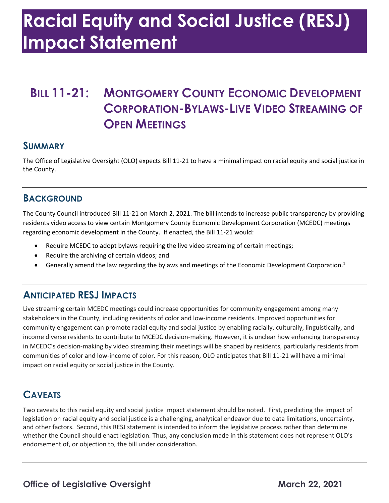# **Racial Equity and Social Justice (RESJ) Impact Statement**

## **BILL 11-21: MONTGOMERY COUNTY ECONOMIC DEVELOPMENT CORPORATION-BYLAWS-LIVE VIDEO STREAMING OF OPEN MEETINGS**

#### **SUMMARY**

 The Office of Legislative Oversight (OLO) expects Bill 11-21 to have a minimal impact on racial equity and social justice in the County.

#### **BACKGROUND**

 The County Council introduced Bill 11-21 on March 2, 2021. The bill intends to increase public transparency by providing regarding economic development in the County. If enacted, the Bill 11-21 would: residents video access to view certain Montgomery County Economic Development Corporation (MCEDC) meetings

- Require MCEDC to adopt bylaws requiring the live video streaming of certain meetings;
- Require the archiving of certain videos; and
- Generally amend the law regarding the bylaws and meetings of the Economic Development Corporation.<sup>1</sup>

### **ANTICIPATED RESJ IMPACTS**

 Live streaming certain MCEDC meetings could increase opportunities for community engagement among many community engagement can promote racial equity and social justice by enabling racially, culturally, linguistically, and in MCEDC's decision-making by video streaming their meetings will be shaped by residents, particularly residents from stakeholders in the County, including residents of color and low-income residents. Improved opportunities for income diverse residents to contribute to MCEDC decision-making. However, it is unclear how enhancing transparency communities of color and low-income of color. For this reason, OLO anticipates that Bill 11-21 will have a minimal impact on racial equity or social justice in the County.

### **CAVEATS**

 Two caveats to this racial equity and social justice impact statement should be noted. First, predicting the impact of and other factors. Second, this RESJ statement is intended to inform the legislative process rather than determine whether the Council should enact legislation. Thus, any conclusion made in this statement does not represent OLO's endorsement of, or objection to, the bill under consideration. legislation on racial equity and social justice is a challenging, analytical endeavor due to data limitations, uncertainty,